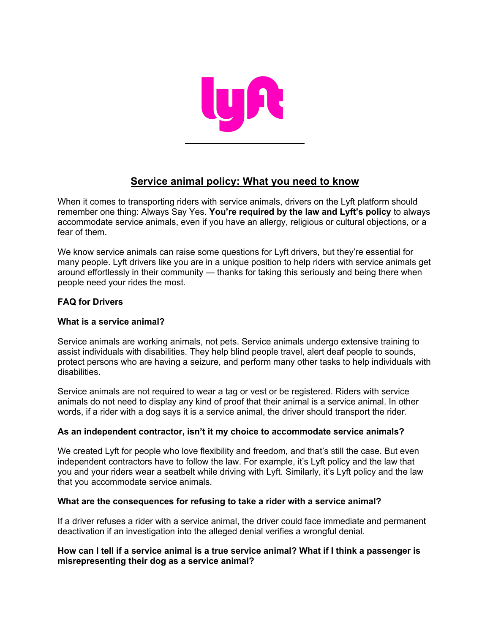

# **Service animal policy: What you need to know**

 When it comes to transporting riders with service animals, drivers on the Lyft platform should remember one thing: Always Say Yes. **You're required by the law and Lyft's policy** to always accommodate service animals, even if you have an allergy, religious or cultural objections, or a fear of them.

 We know service animals can raise some questions for Lyft drivers, but they're essential for many people. Lyft drivers like you are in a unique position to help riders with service animals get around effortlessly in their community — thanks for taking this seriously and being there when people need your rides the most.

# **FAQ for Drivers**

# **What is a service animal?**

 Service animals are working animals, not pets. Service animals undergo extensive training to assist individuals with disabilities. They help blind people travel, alert deaf people to sounds, protect persons who are having a seizure, and perform many other tasks to help individuals with disabilities.

 Service animals are not required to wear a tag or vest or be registered. Riders with service animals do not need to display any kind of proof that their animal is a service animal. In other words, if a rider with a dog says it is a service animal, the driver should transport the rider.

# **As an independent contractor, isn't it my choice to accommodate service animals?**

 We created Lyft for people who love flexibility and freedom, and that's still the case. But even independent contractors have to follow the law. For example, it's Lyft policy and the law that you and your riders wear a seatbelt while driving with Lyft. Similarly, it's Lyft policy and the law that you accommodate service animals.

# **What are the consequences for refusing to take a rider with a service animal?**

 If a driver refuses a rider with a service animal, the driver could face immediate and permanent deactivation if an investigation into the alleged denial verifies a wrongful denial.

## **How can I tell if a service animal is a true service animal? What if I think a passenger is misrepresenting their dog as a service animal?**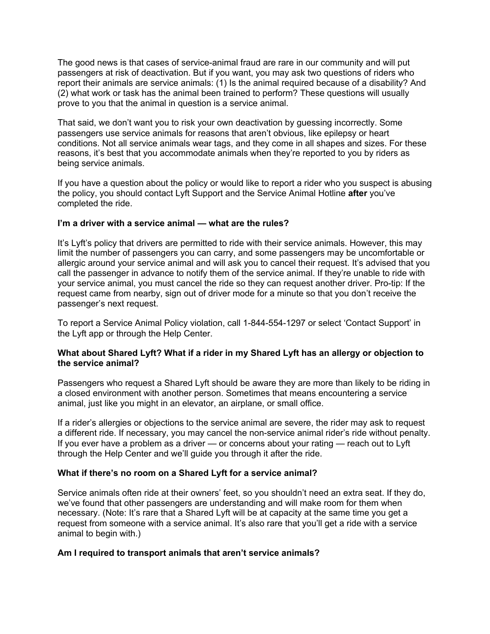The good news is that cases of service-animal fraud are rare in our community and will put passengers at risk of deactivation. But if you want, you may ask two questions of riders who prove to you that the animal in question is a service animal. report their animals are service animals: (1) Is the animal required because of a disability? And (2) what work or task has the animal been trained to perform? These questions will usually

 That said, we don't want you to risk your own deactivation by guessing incorrectly. Some conditions. Not all service animals wear tags, and they come in all shapes and sizes. For these reasons, it's best that you accommodate animals when they're reported to you by riders as passengers use service animals for reasons that aren't obvious, like epilepsy or heart being service animals.

 If you have a question about the policy or would like to report a rider who you suspect is abusing the policy, you should contact Lyft Support and the Service Animal Hotline **after** you've completed the ride.

## **I'm a driver with a service animal — what are the rules?**

 It's Lyft's policy that drivers are permitted to ride with their service animals. However, this may limit the number of passengers you can carry, and some passengers may be uncomfortable or allergic around your service animal and will ask you to cancel their request. It's advised that you call the passenger in advance to notify them of the service animal. If they're unable to ride with your service animal, you must cancel the ride so they can request another driver. Pro-tip: If the request came from nearby, sign out of driver mode for a minute so that you don't receive the passenger's next request.

 To report a Service Animal Policy violation, call 1-844-554-1297 or select 'Contact Support' in the Lyft app or through the Help Center.

## **What about Shared Lyft? What if a rider in my Shared Lyft has an allergy or objection to the service animal?**

 Passengers who request a Shared Lyft should be aware they are more than likely to be riding in a closed environment with another person. Sometimes that means encountering a service animal, just like you might in an elevator, an airplane, or small office.

 If a rider's allergies or objections to the service animal are severe, the rider may ask to request a different ride. If necessary, you may cancel the non-service animal rider's ride without penalty. If you ever have a problem as a driver — or concerns about your rating — reach out to Lyft through the Help Center and we'll guide you through it after the ride.

#### **What if there's no room on a Shared Lyft for a service animal?**

 Service animals often ride at their owners' feet, so you shouldn't need an extra seat. If they do, we've found that other passengers are understanding and will make room for them when necessary. (Note: It's rare that a Shared Lyft will be at capacity at the same time you get a request from someone with a service animal. It's also rare that you'll get a ride with a service animal to begin with.)

#### **Am I required to transport animals that aren't service animals?**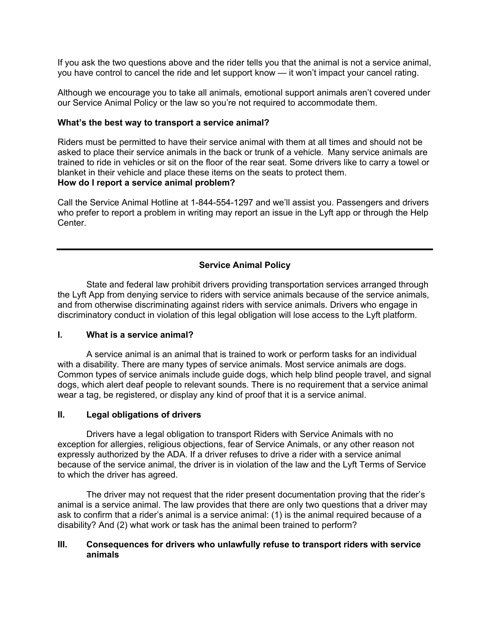you have control to cancel the ride and let support know — it won't impact your cancel rating. If you ask the two questions above and the rider tells you that the animal is not a service animal,

 Although we encourage you to take all animals, emotional support animals aren't covered under our Service Animal Policy or the law so you're not required to accommodate them.

#### **What's the best way to transport a service animal?**

 Riders must be permitted to have their service animal with them at all times and should not be asked to place their service animals in the back or trunk of a vehicle. Many service animals are trained to ride in vehicles or sit on the floor of the rear seat. Some drivers like to carry a towel or blanket in their vehicle and place these items on the seats to protect them.  **How do I report a service animal problem?** 

 Call the Service Animal Hotline at 1-844-554-1297 and we'll assist you. Passengers and drivers who prefer to report a problem in writing may report an issue in the Lyft app or through the Help **Center** 

# **Service Animal Policy**

 State and federal law prohibit drivers providing transportation services arranged through discriminatory conduct in violation of this legal obligation will lose access to the Lyft platform. the Lyft App from denying service to riders with service animals because of the service animals, and from otherwise discriminating against riders with service animals. Drivers who engage in

#### **I. What is a service animal?**

 A service animal is an animal that is trained to work or perform tasks for an individual with a disability. There are many types of service animals. Most service animals are dogs. Common types of service animals include guide dogs, which help blind people travel, and signal dogs, which alert deaf people to relevant sounds. There is no requirement that a service animal wear a tag, be registered, or display any kind of proof that it is a service animal.

#### **II. Legal obligations of drivers**

 Drivers have a legal obligation to transport Riders with Service Animals with no exception for allergies, religious objections, fear of Service Animals, or any other reason not expressly authorized by the ADA. If a driver refuses to drive a rider with a service animal because of the service animal, the driver is in violation of the law and the Lyft Terms of Service to which the driver has agreed.

 The driver may not request that the rider present documentation proving that the rider's animal is a service animal. The law provides that there are only two questions that a driver may ask to confirm that a rider's animal is a service animal: (1) is the animal required because of a disability? And (2) what work or task has the animal been trained to perform?

## **III. Consequences for drivers who unlawfully refuse to transport riders with service animals**